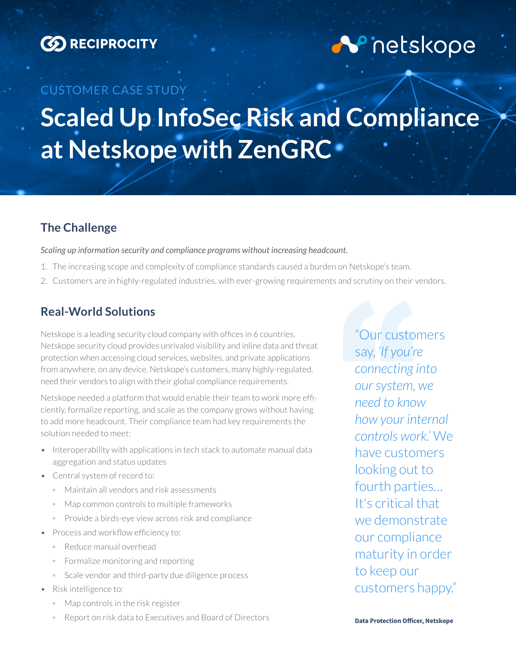

# **N** netskope

# CUSTOMER CASE STUDY **Scaled Up InfoSec Risk and Compliance at Netskope with ZenGRC**

## **The Challenge**

*Scaling up information security and compliance programs without increasing headcount.*

- 1. The increasing scope and complexity of compliance standards caused a burden on Netskope's team.
- 2. Customers are in highly-regulated industries, with ever-growing requirements and scrutiny on their vendors.

### **Real-World Solutions**

Netskope is a leading security cloud company with offices in 6 countries. Netskope security cloud provides unrivaled visibility and inline data and threat protection when accessing cloud services, websites, and private applications from anywhere, on any device. Netskope's customers, many highly-regulated, need their vendors to align with their global compliance requirements.

Netskope needed a platform that would enable their team to work more efficiently, formalize reporting, and scale as the company grows without having to add more headcount. Their compliance team had key requirements the solution needed to meet:

- Interoperability with applications in tech stack to automate manual data aggregation and status updates
- Central system of record to:
	- Maintain all vendors and risk assessments
	- Map common controls to multiple frameworks
	- Provide a birds-eye view across risk and compliance
- Process and workflow efficiency to:
	- Reduce manual overhead
	- Formalize monitoring and reporting
	- Scale vendor and third-party due diligence process
- Risk intelligence to:
	- Map controls in the risk register
	- Report on risk data to Executives and Board of Directors

"Our customers say, *'If you're connecting into our system, we need to know how your internal controls work.'* We have customers looking out to fourth parties… It's critical that we demonstrate our compliance maturity in order to keep our customers happy."